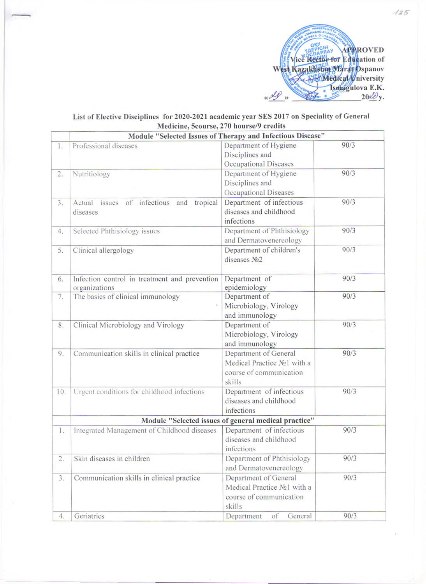

## **List of Elective Disciplines for 2020-2021 academic year SES 2017 on Speciality of General Medicine, 5course, 270 hourse/9 credits**

|     |                                                                | Module "Selected Issues of Therapy and Infectious Disease"                                |      |
|-----|----------------------------------------------------------------|-------------------------------------------------------------------------------------------|------|
| 1.  | Professional diseases                                          | Department of Hygiene<br>Disciplines and<br>Occupational Diseases                         | 90/3 |
| 2.  | Nutritiology                                                   | Department of Hygiene<br>Disciplines and<br>Occupational Diseases                         | 90/3 |
| 3.  | Actual issues of infectious and tropical<br>diseases           | Department of infectious<br>diseases and childhood<br>infections                          | 90/3 |
| 4.  | Selected Phthisiology issues                                   | Department of Phthisiology<br>and Dermatovenereology                                      | 90/3 |
| 5.  | Clinical allergology                                           | Department of children's<br>diseases No <sub>2</sub>                                      | 90/3 |
| 6.  | Infection control in treatment and prevention<br>organizations | Department of<br>epidemiology                                                             | 90/3 |
| 7.  | The basics of clinical immunology                              | Department of<br>Microbiology, Virology<br>and immunology                                 | 90/3 |
| 8.  | Clinical Microbiology and Virology                             | Department of<br>Microbiology, Virology<br>and immunology                                 | 90/3 |
| 9.  | Communication skills in clinical practice                      | Department of General<br>Medical Practice No1 with a<br>course of communication<br>skills | 90/3 |
| 10. | Urgent conditions for childhood infections                     | Department of infectious<br>diseases and childhood<br>infections                          | 90/3 |
|     |                                                                | Module "Selected issues of general medical practice"                                      |      |
| 1.  | Integrated Management of Childhood diseases                    | Department of infectious<br>diseases and childhood<br>infections                          | 90/3 |
| 2.  | Skin diseases in children                                      | Department of Phthisiology<br>and Dermatovenereology                                      | 90/3 |
| 3.  | Communication skills in clinical practice                      | Department of General<br>Medical Practice No1 with a<br>course of communication<br>skills | 90/3 |
| 4.  | Geriatrics                                                     | General<br>Department<br>of                                                               | 90/3 |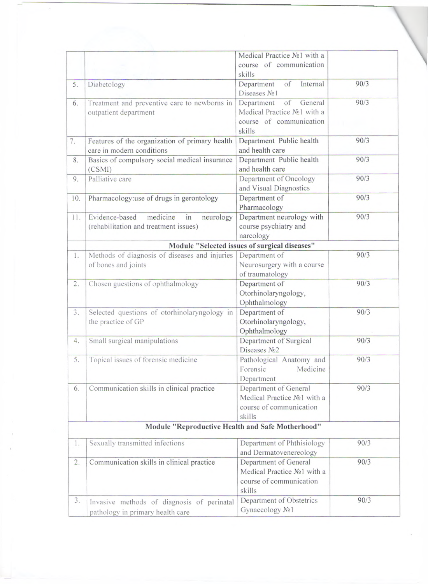|     |                                                                       | Medical Practice No1 with a                          |      |
|-----|-----------------------------------------------------------------------|------------------------------------------------------|------|
|     |                                                                       | course of communication                              |      |
|     |                                                                       | skills                                               | 90/3 |
| 5.  | Diabetology                                                           | of<br>Internal<br>Department<br>Diseases No1         |      |
| 6.  |                                                                       | General<br>of<br>Department                          | 90/3 |
|     | Treatment and preventive care to newborns in<br>outpatient department | Medical Practice No1 with a                          |      |
|     |                                                                       | course of communication                              |      |
|     |                                                                       | skills                                               |      |
|     |                                                                       |                                                      |      |
| 7.  | Features of the organization of primary health                        | Department Public health                             | 90/3 |
|     | care in modern conditions                                             | and health care                                      |      |
| 8.  | Basics of compulsory social medical insurance                         | Department Public health                             | 90/3 |
|     | (CSMI)                                                                | and health care                                      |      |
| 9.  | Palliative care                                                       | Department of Oncology                               | 90/3 |
|     |                                                                       | and Visual Diagnostics                               |      |
| 10. | Pharmacology:use of drugs in gerontology                              | Department of                                        | 90/3 |
|     |                                                                       | Pharmacology                                         |      |
| 11. | Evidence-based<br>medicine<br>neurology<br>in                         | Department neurology with                            | 90/3 |
|     | (rehabilitation and treatment issues)                                 | course psychiatry and                                |      |
|     |                                                                       | narcology                                            |      |
|     |                                                                       | Module "Selected issues of surgical diseases"        |      |
| 1.  | Methods of diagnosis of diseases and injuries                         | Department of                                        | 90/3 |
|     | of bones and joints                                                   | Neurosurgery with a course                           |      |
|     |                                                                       | of traumatology                                      |      |
| 2.  | Chosen guestions of ophthalmology                                     | Department of                                        | 90/3 |
|     |                                                                       | Otorhinolaryngology,                                 |      |
|     |                                                                       | Ophthalmology                                        |      |
| 3.  | Selected questions of otorhinolaryngology in                          | Department of                                        | 90/3 |
|     | the practice of GP                                                    | Otorhinolaryngology,                                 |      |
|     |                                                                       | Ophthalmology                                        |      |
| 4.  | Small surgical manipulations                                          | Department of Surgical                               | 90/3 |
|     |                                                                       | Diseases No <sub>2</sub>                             |      |
| 5.  | Topical issues of forensic medicine                                   | Pathological Anatomy and                             | 90/3 |
|     |                                                                       | Forensic<br>Medicine                                 |      |
|     |                                                                       |                                                      |      |
|     |                                                                       | Department                                           | 90/3 |
| 6.  | Communication skills in clinical practice                             | Department of General<br>Medical Practice No1 with a |      |
|     |                                                                       |                                                      |      |
|     |                                                                       | course of communication                              |      |
|     |                                                                       | skills                                               |      |
|     | Module "Reproductive Health and Safe Motherhood"                      |                                                      |      |
| 1.  | Sexually transmitted infections                                       | Department of Phthisiology                           | 90/3 |
|     |                                                                       | and Dermatovenereology                               |      |
|     |                                                                       | Department of General                                | 90/3 |
| 2.  | Communication skills in clinical practice                             |                                                      |      |
|     |                                                                       | Medical Practice No1 with a                          |      |
|     |                                                                       | course of communication                              |      |
|     |                                                                       | skills                                               |      |
| 3.  | Invasive methods of diagnosis of perinatal                            | Department of Obstetrics                             | 90/3 |
|     | pathology in primary health care                                      | Gynaecology No1                                      |      |